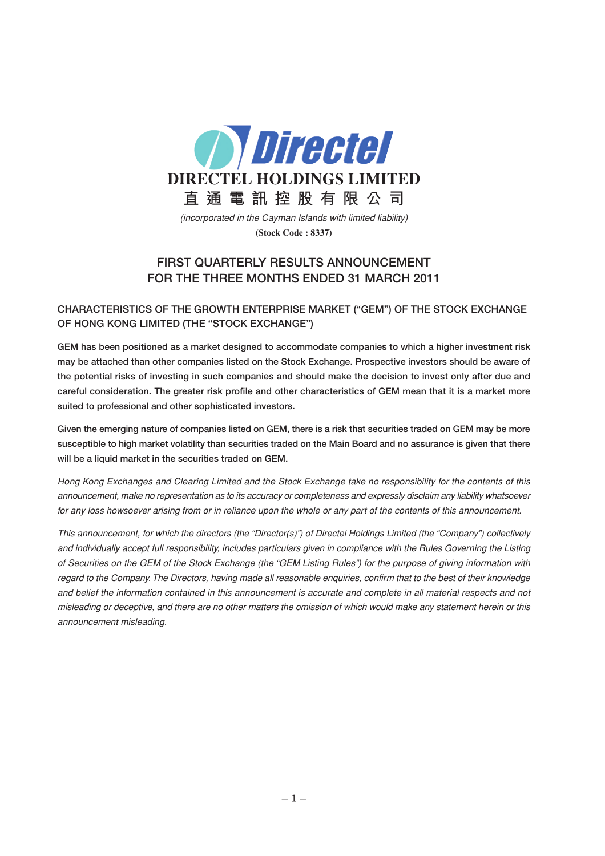

(incorporated in the Cayman Islands with limited liability) **(Stock Code : 8337)**

## **FIRST QUARTERLY RESULTS ANNOUNCEMENT FOR THE THREE MONTHS ENDED 31 MARCH 2011**

## **CHARACTERISTICS OF THE GROWTH ENTERPRISE MARKET ("GEM") OF THE STOCK EXCHANGE OF HONG KONG LIMITED (THE "STOCK EXCHANGE")**

**GEM has been positioned as a market designed to accommodate companies to which a higher investment risk may be attached than other companies listed on the Stock Exchange. Prospective investors should be aware of the potential risks of investing in such companies and should make the decision to invest only after due and careful consideration. The greater risk profile and other characteristics of GEM mean that it is a market more suited to professional and other sophisticated investors.**

**Given the emerging nature of companies listed on GEM, there is a risk that securities traded on GEM may be more susceptible to high market volatility than securities traded on the Main Board and no assurance is given that there will be a liquid market in the securities traded on GEM.**

Hong Kong Exchanges and Clearing Limited and the Stock Exchange take no responsibility for the contents of this announcement, make no representation as to its accuracy or completeness and expressly disclaim any liability whatsoever for any loss howsoever arising from or in reliance upon the whole or any part of the contents of this announcement.

This announcement, for which the directors (the "Director(s)") of Directel Holdings Limited (the "Company") collectively and individually accept full responsibility, includes particulars given in compliance with the Rules Governing the Listing of Securities on the GEM of the Stock Exchange (the "GEM Listing Rules") for the purpose of giving information with regard to the Company. The Directors, having made all reasonable enquiries, confirm that to the best of their knowledge and belief the information contained in this announcement is accurate and complete in all material respects and not misleading or deceptive, and there are no other matters the omission of which would make any statement herein or this announcement misleading.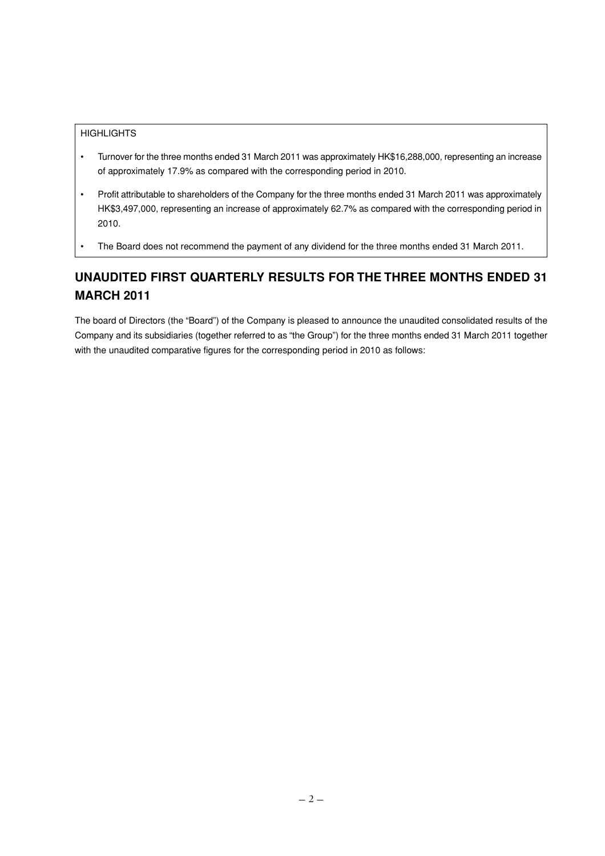#### **HIGHLIGHTS**

- Turnover for the three months ended 31 March 2011 was approximately HK\$16,288,000, representing an increase of approximately 17.9% as compared with the corresponding period in 2010.
- Profit attributable to shareholders of the Company for the three months ended 31 March 2011 was approximately HK\$3,497,000, representing an increase of approximately 62.7% as compared with the corresponding period in 2010.
- The Board does not recommend the payment of any dividend for the three months ended 31 March 2011.

# **UNAUDITED FIRST QUARTERLY RESULTS FOR THE THREE MONTHS ENDED 31 MARCH 2011**

The board of Directors (the "Board") of the Company is pleased to announce the unaudited consolidated results of the Company and its subsidiaries (together referred to as "the Group") for the three months ended 31 March 2011 together with the unaudited comparative figures for the corresponding period in 2010 as follows: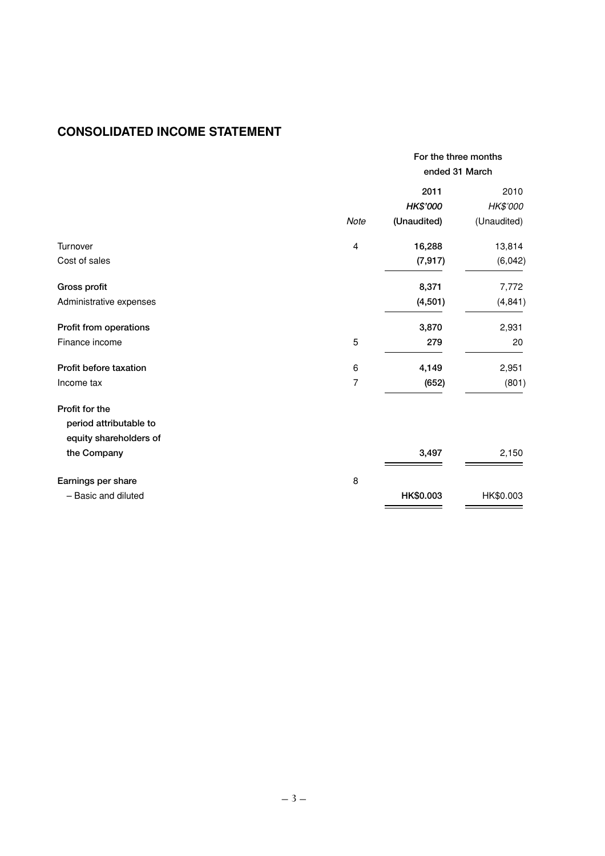# **CONSOLIDATED INCOME STATEMENT**

|                         |                | For the three months<br>ended 31 March |             |
|-------------------------|----------------|----------------------------------------|-------------|
|                         |                | 2011                                   | 2010        |
|                         |                | HK\$'000                               | HK\$'000    |
|                         | Note           | (Unaudited)                            | (Unaudited) |
| Turnover                | $\overline{4}$ | 16,288                                 | 13,814      |
| Cost of sales           |                | (7, 917)                               | (6,042)     |
| Gross profit            |                | 8,371                                  | 7,772       |
| Administrative expenses |                | (4, 501)                               | (4, 841)    |
| Profit from operations  |                | 3,870                                  | 2,931       |
| Finance income          | 5              | 279                                    | 20          |
| Profit before taxation  | 6              | 4,149                                  | 2,951       |
| Income tax              | 7              | (652)                                  | (801)       |
| Profit for the          |                |                                        |             |
| period attributable to  |                |                                        |             |
| equity shareholders of  |                |                                        |             |
| the Company             |                | 3,497                                  | 2,150       |
| Earnings per share      | 8              |                                        |             |
| - Basic and diluted     |                | HK\$0.003                              | HK\$0.003   |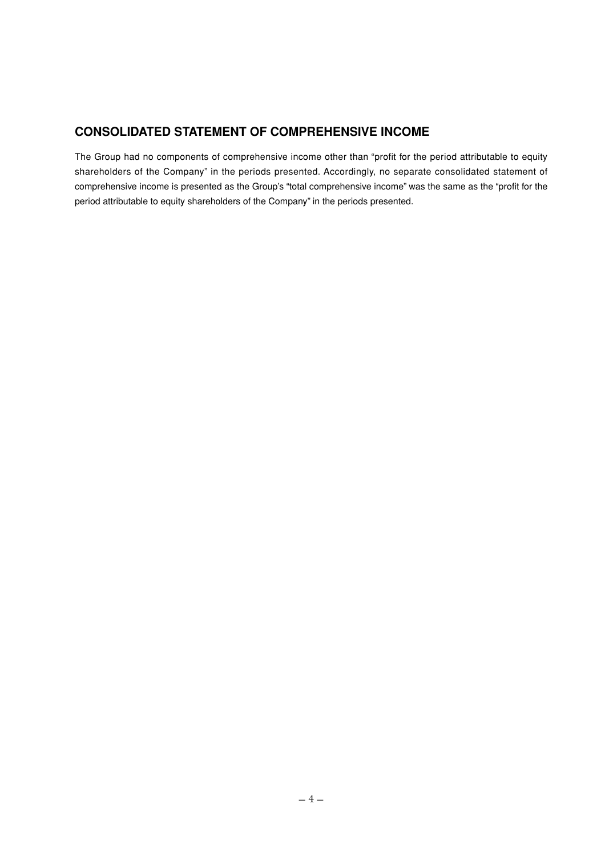## **CONSOLIDATED STATEMENT OF COMPREHENSIVE INCOME**

The Group had no components of comprehensive income other than "profit for the period attributable to equity shareholders of the Company" in the periods presented. Accordingly, no separate consolidated statement of comprehensive income is presented as the Group's "total comprehensive income" was the same as the "profit for the period attributable to equity shareholders of the Company" in the periods presented.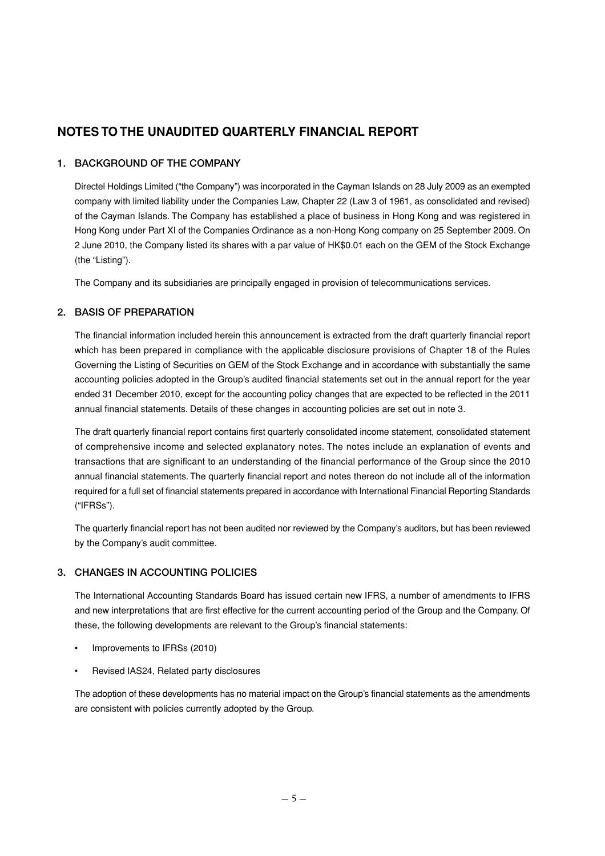## **NOTES TO THE UNAUDITED QUARTERLY FINANCIAL REPORT**

## **1. BACKGROUND OF THE COMPANY**

Directel Holdings Limited ("the Company") was incorporated in the Cayman Islands on 28 July 2009 as an exempted company with limited liability under the Companies Law, Chapter 22 (Law 3 of 1961, as consolidated and revised) of the Cayman Islands. The Company has established a place of business in Hong Kong and was registered in Hong Kong under Part XI of the Companies Ordinance as a non-Hong Kong company on 25 September 2009. On 2 June 2010, the Company listed its shares with a par value of HK\$0.01 each on the GEM of the Stock Exchange (the "Listing").

The Company and its subsidiaries are principally engaged in provision of telecommunications services.

## **2. BASIS OF PREPARATION**

The financial information included herein this announcement is extracted from the draft quarterly financial report which has been prepared in compliance with the applicable disclosure provisions of Chapter 18 of the Rules Governing the Listing of Securities on GEM of the Stock Exchange and in accordance with substantially the same accounting policies adopted in the Group's audited financial statements set out in the annual report for the year ended 31 December 2010, except for the accounting policy changes that are expected to be reflected in the 2011 annual financial statements. Details of these changes in accounting policies are set out in note 3.

The draft quarterly financial report contains first quarterly consolidated income statement, consolidated statement of comprehensive income and selected explanatory notes. The notes include an explanation of events and transactions that are significant to an understanding of the financial performance of the Group since the 2010 annual financial statements. The quarterly financial report and notes thereon do not include all of the information required for a full set of financial statements prepared in accordance with International Financial Reporting Standards ("IFRSs").

The quarterly financial report has not been audited nor reviewed by the Company's auditors, but has been reviewed by the Company's audit committee.

## **3. CHANGES IN ACCOUNTING POLICIES**

The International Accounting Standards Board has issued certain new IFRS, a number of amendments to IFRS and new interpretations that are first effective for the current accounting period of the Group and the Company. Of these, the following developments are relevant to the Group's financial statements:

- Improvements to IFRSs (2010)
- Revised IAS24, Related party disclosures

The adoption of these developments has no material impact on the Group's financial statements as the amendments are consistent with policies currently adopted by the Group.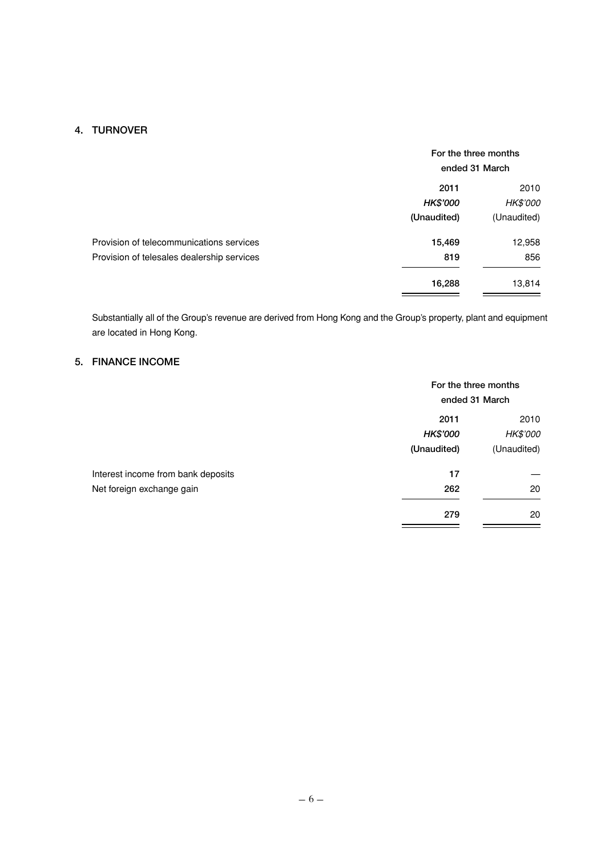## **4. TURNOVER**

|                                            | For the three months<br>ended 31 March |                 |
|--------------------------------------------|----------------------------------------|-----------------|
|                                            | 2011                                   | 2010            |
|                                            | <b>HK\$'000</b>                        | <b>HK\$'000</b> |
|                                            | (Unaudited)                            | (Unaudited)     |
| Provision of telecommunications services   | 15,469                                 | 12,958          |
| Provision of telesales dealership services | 819                                    | 856             |
|                                            | 16,288                                 | 13,814          |

Substantially all of the Group's revenue are derived from Hong Kong and the Group's property, plant and equipment are located in Hong Kong.

## **5. FINANCE INCOME**

|                                    | For the three months<br>ended 31 March |             |
|------------------------------------|----------------------------------------|-------------|
|                                    | 2011                                   | 2010        |
|                                    | HK\$'000                               | HK\$'000    |
|                                    | (Unaudited)                            | (Unaudited) |
| Interest income from bank deposits | 17                                     |             |
| Net foreign exchange gain          | 262                                    | 20          |
|                                    | 279                                    | 20          |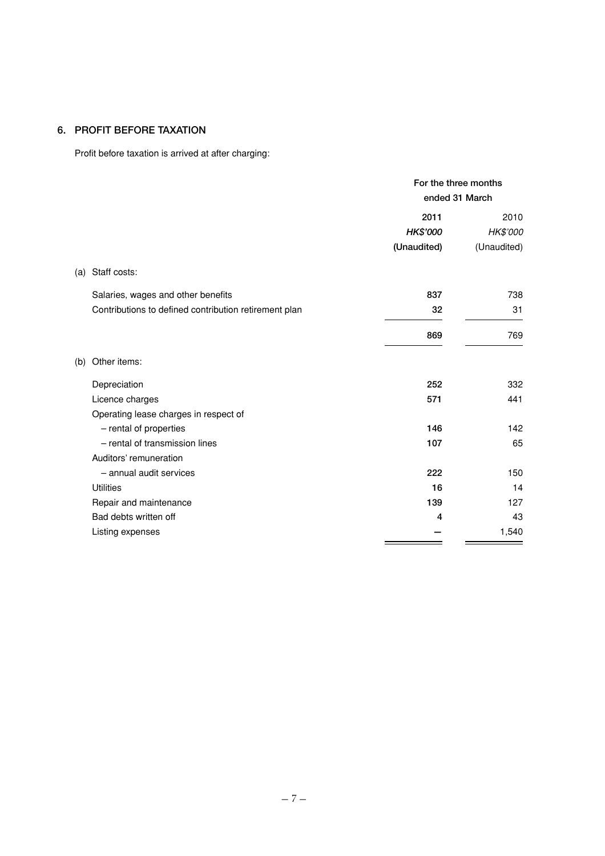## **6. PROFIT BEFORE TAXATION**

Profit before taxation is arrived at after charging:

|                                                       | For the three months<br>ended 31 March |             |
|-------------------------------------------------------|----------------------------------------|-------------|
|                                                       | 2011                                   | 2010        |
|                                                       | HK\$'000                               | HK\$'000    |
|                                                       | (Unaudited)                            | (Unaudited) |
| Staff costs:<br>(a)                                   |                                        |             |
| Salaries, wages and other benefits                    | 837                                    | 738         |
| Contributions to defined contribution retirement plan | 32                                     | 31          |
|                                                       | 869                                    | 769         |
| Other items:<br>(b)                                   |                                        |             |
| Depreciation                                          | 252                                    | 332         |
| Licence charges                                       | 571                                    | 441         |
| Operating lease charges in respect of                 |                                        |             |
| - rental of properties                                | 146                                    | 142         |
| - rental of transmission lines                        | 107                                    | 65          |
| Auditors' remuneration                                |                                        |             |
| - annual audit services                               | 222                                    | 150         |
| <b>Utilities</b>                                      | 16                                     | 14          |
| Repair and maintenance                                | 139                                    | 127         |
| Bad debts written off                                 | 4                                      | 43          |
| Listing expenses                                      |                                        | 1,540       |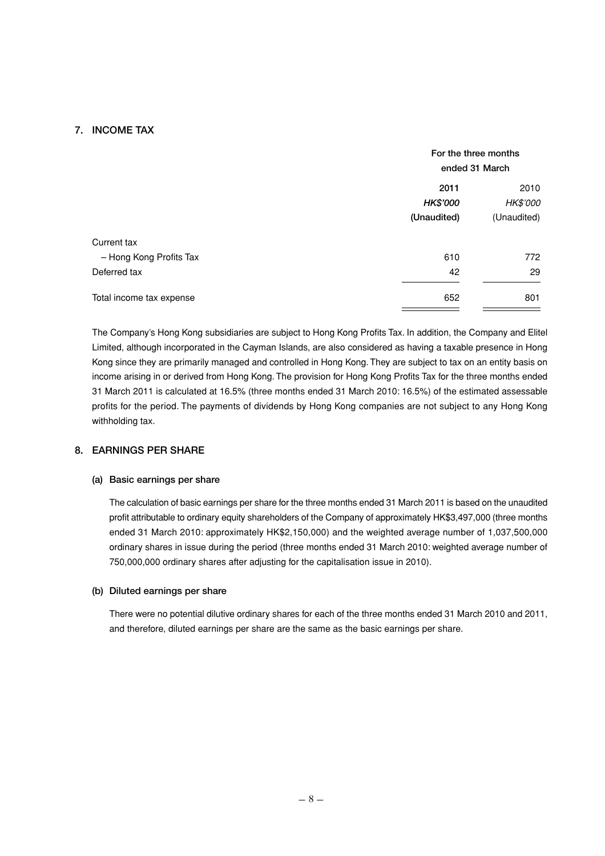## **7. INCOME TAX**

|                          |             | For the three months<br>ended 31 March |  |
|--------------------------|-------------|----------------------------------------|--|
|                          | 2011        | 2010                                   |  |
|                          | HK\$'000    | <b>HK\$'000</b>                        |  |
|                          | (Unaudited) | (Unaudited)                            |  |
| Current tax              |             |                                        |  |
| - Hong Kong Profits Tax  | 610         | 772                                    |  |
| Deferred tax             | 42          | 29                                     |  |
| Total income tax expense | 652         | 801                                    |  |

The Company's Hong Kong subsidiaries are subject to Hong Kong Profits Tax. In addition, the Company and Elitel Limited, although incorporated in the Cayman Islands, are also considered as having a taxable presence in Hong Kong since they are primarily managed and controlled in Hong Kong. They are subject to tax on an entity basis on income arising in or derived from Hong Kong. The provision for Hong Kong Profits Tax for the three months ended 31 March 2011 is calculated at 16.5% (three months ended 31 March 2010: 16.5%) of the estimated assessable profits for the period. The payments of dividends by Hong Kong companies are not subject to any Hong Kong withholding tax.

## **8. EARNINGS PER SHARE**

#### **(a) Basic earnings per share**

The calculation of basic earnings per share for the three months ended 31 March 2011 is based on the unaudited profit attributable to ordinary equity shareholders of the Company of approximately HK\$3,497,000 (three months ended 31 March 2010: approximately HK\$2,150,000) and the weighted average number of 1,037,500,000 ordinary shares in issue during the period (three months ended 31 March 2010: weighted average number of 750,000,000 ordinary shares after adjusting for the capitalisation issue in 2010).

#### **(b) Diluted earnings per share**

There were no potential dilutive ordinary shares for each of the three months ended 31 March 2010 and 2011, and therefore, diluted earnings per share are the same as the basic earnings per share.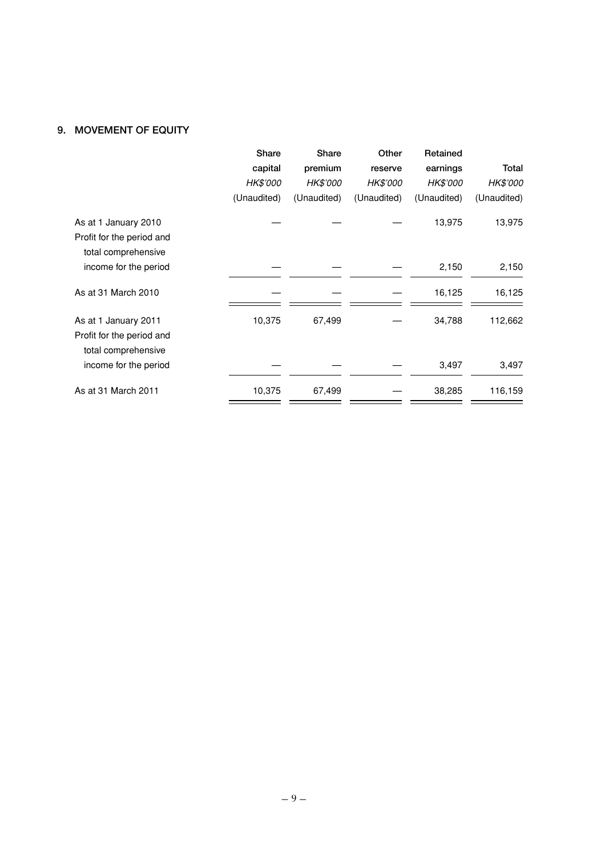## **9. MOVEMENT OF EQUITY**

|                                                                          | Share       | Share       | Other       | Retained    |             |
|--------------------------------------------------------------------------|-------------|-------------|-------------|-------------|-------------|
|                                                                          | capital     | premium     | reserve     | earnings    | Total       |
|                                                                          | HK\$'000    | HK\$'000    | HK\$'000    | HK\$'000    | HK\$'000    |
|                                                                          | (Unaudited) | (Unaudited) | (Unaudited) | (Unaudited) | (Unaudited) |
| As at 1 January 2010<br>Profit for the period and<br>total comprehensive |             |             |             | 13,975      | 13,975      |
| income for the period                                                    |             |             |             | 2,150       | 2,150       |
| As at 31 March 2010                                                      |             |             |             | 16,125      | 16,125      |
| As at 1 January 2011<br>Profit for the period and<br>total comprehensive | 10,375      | 67,499      |             | 34,788      | 112,662     |
| income for the period                                                    |             |             |             | 3,497       | 3,497       |
| As at 31 March 2011                                                      | 10,375      | 67,499      |             | 38,285      | 116,159     |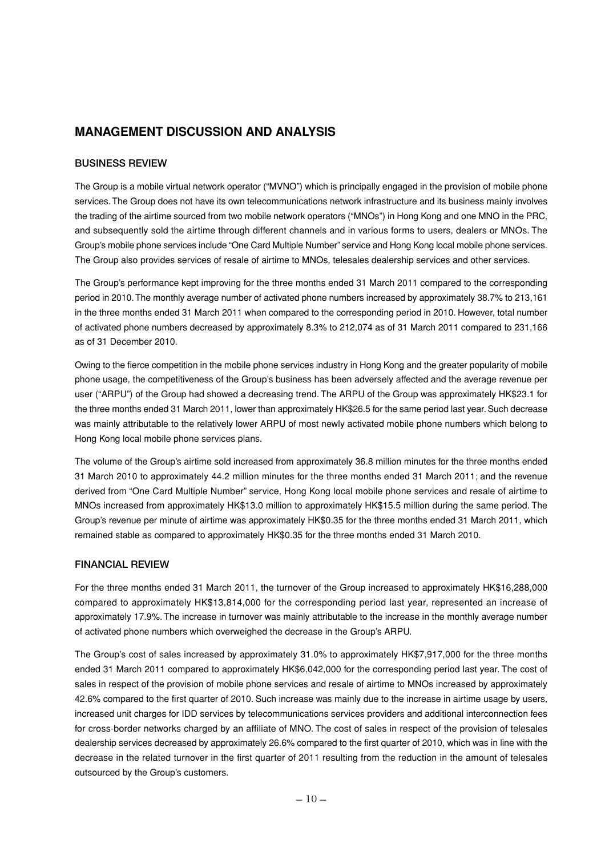## **MANAGEMENT DISCUSSION AND ANALYSIS**

## **BUSINESS REVIEW**

The Group is a mobile virtual network operator ("MVNO") which is principally engaged in the provision of mobile phone services. The Group does not have its own telecommunications network infrastructure and its business mainly involves the trading of the airtime sourced from two mobile network operators ("MNOs") in Hong Kong and one MNO in the PRC, and subsequently sold the airtime through different channels and in various forms to users, dealers or MNOs. The Group's mobile phone services include "One Card Multiple Number" service and Hong Kong local mobile phone services. The Group also provides services of resale of airtime to MNOs, telesales dealership services and other services.

The Group's performance kept improving for the three months ended 31 March 2011 compared to the corresponding period in 2010. The monthly average number of activated phone numbers increased by approximately 38.7% to 213,161 in the three months ended 31 March 2011 when compared to the corresponding period in 2010. However, total number of activated phone numbers decreased by approximately 8.3% to 212,074 as of 31 March 2011 compared to 231,166 as of 31 December 2010.

Owing to the fierce competition in the mobile phone services industry in Hong Kong and the greater popularity of mobile phone usage, the competitiveness of the Group's business has been adversely affected and the average revenue per user ("ARPU") of the Group had showed a decreasing trend. The ARPU of the Group was approximately HK\$23.1 for the three months ended 31 March 2011, lower than approximately HK\$26.5 for the same period last year. Such decrease was mainly attributable to the relatively lower ARPU of most newly activated mobile phone numbers which belong to Hong Kong local mobile phone services plans.

The volume of the Group's airtime sold increased from approximately 36.8 million minutes for the three months ended 31 March 2010 to approximately 44.2 million minutes for the three months ended 31 March 2011; and the revenue derived from "One Card Multiple Number" service, Hong Kong local mobile phone services and resale of airtime to MNOs increased from approximately HK\$13.0 million to approximately HK\$15.5 million during the same period. The Group's revenue per minute of airtime was approximately HK\$0.35 for the three months ended 31 March 2011, which remained stable as compared to approximately HK\$0.35 for the three months ended 31 March 2010.

#### **FINANCIAL REVIEW**

For the three months ended 31 March 2011, the turnover of the Group increased to approximately HK\$16,288,000 compared to approximately HK\$13,814,000 for the corresponding period last year, represented an increase of approximately 17.9%. The increase in turnover was mainly attributable to the increase in the monthly average number of activated phone numbers which overweighed the decrease in the Group's ARPU.

The Group's cost of sales increased by approximately 31.0% to approximately HK\$7,917,000 for the three months ended 31 March 2011 compared to approximately HK\$6,042,000 for the corresponding period last year. The cost of sales in respect of the provision of mobile phone services and resale of airtime to MNOs increased by approximately 42.6% compared to the first quarter of 2010. Such increase was mainly due to the increase in airtime usage by users, increased unit charges for IDD services by telecommunications services providers and additional interconnection fees for cross-border networks charged by an affiliate of MNO. The cost of sales in respect of the provision of telesales dealership services decreased by approximately 26.6% compared to the first quarter of 2010, which was in line with the decrease in the related turnover in the first quarter of 2011 resulting from the reduction in the amount of telesales outsourced by the Group's customers.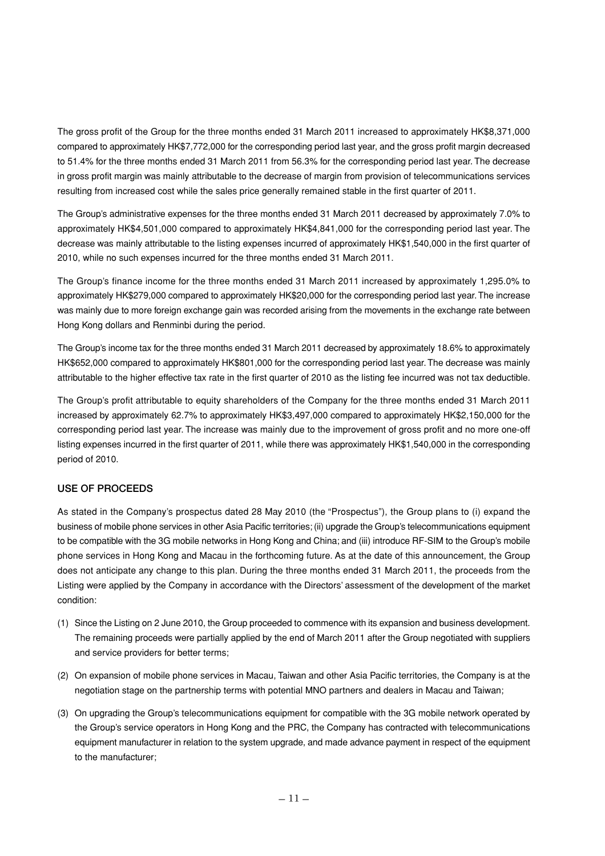The gross profit of the Group for the three months ended 31 March 2011 increased to approximately HK\$8,371,000 compared to approximately HK\$7,772,000 for the corresponding period last year, and the gross profit margin decreased to 51.4% for the three months ended 31 March 2011 from 56.3% for the corresponding period last year. The decrease in gross profit margin was mainly attributable to the decrease of margin from provision of telecommunications services resulting from increased cost while the sales price generally remained stable in the first quarter of 2011.

The Group's administrative expenses for the three months ended 31 March 2011 decreased by approximately 7.0% to approximately HK\$4,501,000 compared to approximately HK\$4,841,000 for the corresponding period last year. The decrease was mainly attributable to the listing expenses incurred of approximately HK\$1,540,000 in the first quarter of 2010, while no such expenses incurred for the three months ended 31 March 2011.

The Group's finance income for the three months ended 31 March 2011 increased by approximately 1,295.0% to approximately HK\$279,000 compared to approximately HK\$20,000 for the corresponding period last year. The increase was mainly due to more foreign exchange gain was recorded arising from the movements in the exchange rate between Hong Kong dollars and Renminbi during the period.

The Group's income tax for the three months ended 31 March 2011 decreased by approximately 18.6% to approximately HK\$652,000 compared to approximately HK\$801,000 for the corresponding period last year. The decrease was mainly attributable to the higher effective tax rate in the first quarter of 2010 as the listing fee incurred was not tax deductible.

The Group's profit attributable to equity shareholders of the Company for the three months ended 31 March 2011 increased by approximately 62.7% to approximately HK\$3,497,000 compared to approximately HK\$2,150,000 for the corresponding period last year. The increase was mainly due to the improvement of gross profit and no more one-off listing expenses incurred in the first quarter of 2011, while there was approximately HK\$1,540,000 in the corresponding period of 2010.

## **USE OF PROCEEDS**

As stated in the Company's prospectus dated 28 May 2010 (the "Prospectus"), the Group plans to (i) expand the business of mobile phone services in other Asia Pacific territories; (ii) upgrade the Group's telecommunications equipment to be compatible with the 3G mobile networks in Hong Kong and China; and (iii) introduce RF-SIM to the Group's mobile phone services in Hong Kong and Macau in the forthcoming future. As at the date of this announcement, the Group does not anticipate any change to this plan. During the three months ended 31 March 2011, the proceeds from the Listing were applied by the Company in accordance with the Directors' assessment of the development of the market condition:

- (1) Since the Listing on 2 June 2010, the Group proceeded to commence with its expansion and business development. The remaining proceeds were partially applied by the end of March 2011 after the Group negotiated with suppliers and service providers for better terms;
- (2) On expansion of mobile phone services in Macau, Taiwan and other Asia Pacific territories, the Company is at the negotiation stage on the partnership terms with potential MNO partners and dealers in Macau and Taiwan;
- (3) On upgrading the Group's telecommunications equipment for compatible with the 3G mobile network operated by the Group's service operators in Hong Kong and the PRC, the Company has contracted with telecommunications equipment manufacturer in relation to the system upgrade, and made advance payment in respect of the equipment to the manufacturer;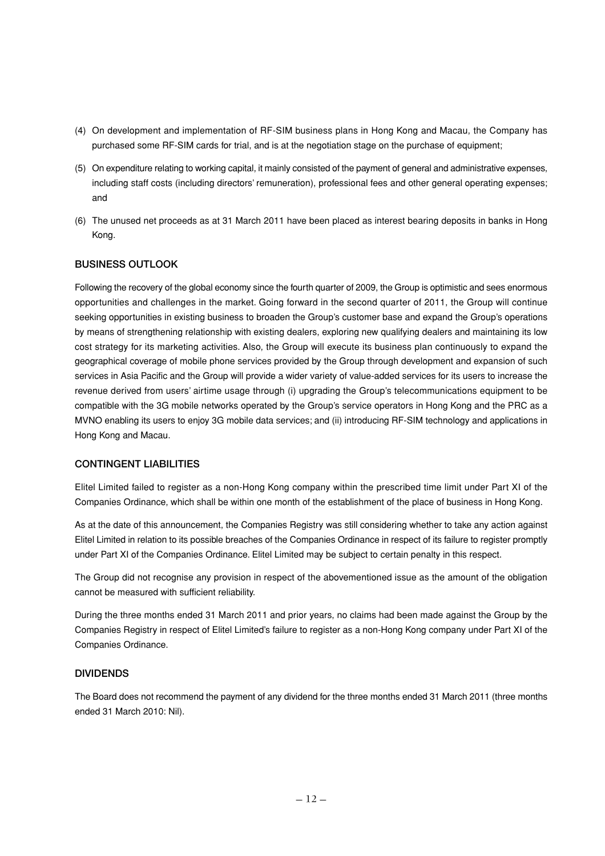- (4) On development and implementation of RF-SIM business plans in Hong Kong and Macau, the Company has purchased some RF-SIM cards for trial, and is at the negotiation stage on the purchase of equipment;
- (5) On expenditure relating to working capital, it mainly consisted of the payment of general and administrative expenses, including staff costs (including directors' remuneration), professional fees and other general operating expenses; and
- (6) The unused net proceeds as at 31 March 2011 have been placed as interest bearing deposits in banks in Hong Kong.

#### **BUSINESS OUTLOOK**

Following the recovery of the global economy since the fourth quarter of 2009, the Group is optimistic and sees enormous opportunities and challenges in the market. Going forward in the second quarter of 2011, the Group will continue seeking opportunities in existing business to broaden the Group's customer base and expand the Group's operations by means of strengthening relationship with existing dealers, exploring new qualifying dealers and maintaining its low cost strategy for its marketing activities. Also, the Group will execute its business plan continuously to expand the geographical coverage of mobile phone services provided by the Group through development and expansion of such services in Asia Pacific and the Group will provide a wider variety of value-added services for its users to increase the revenue derived from users' airtime usage through (i) upgrading the Group's telecommunications equipment to be compatible with the 3G mobile networks operated by the Group's service operators in Hong Kong and the PRC as a MVNO enabling its users to enjoy 3G mobile data services; and (ii) introducing RF-SIM technology and applications in Hong Kong and Macau.

#### **CONTINGENT LIABILITIES**

Elitel Limited failed to register as a non-Hong Kong company within the prescribed time limit under Part XI of the Companies Ordinance, which shall be within one month of the establishment of the place of business in Hong Kong.

As at the date of this announcement, the Companies Registry was still considering whether to take any action against Elitel Limited in relation to its possible breaches of the Companies Ordinance in respect of its failure to register promptly under Part XI of the Companies Ordinance. Elitel Limited may be subject to certain penalty in this respect.

The Group did not recognise any provision in respect of the abovementioned issue as the amount of the obligation cannot be measured with sufficient reliability.

During the three months ended 31 March 2011 and prior years, no claims had been made against the Group by the Companies Registry in respect of Elitel Limited's failure to register as a non-Hong Kong company under Part XI of the Companies Ordinance.

#### **DIVIDENDS**

The Board does not recommend the payment of any dividend for the three months ended 31 March 2011 (three months ended 31 March 2010: Nil).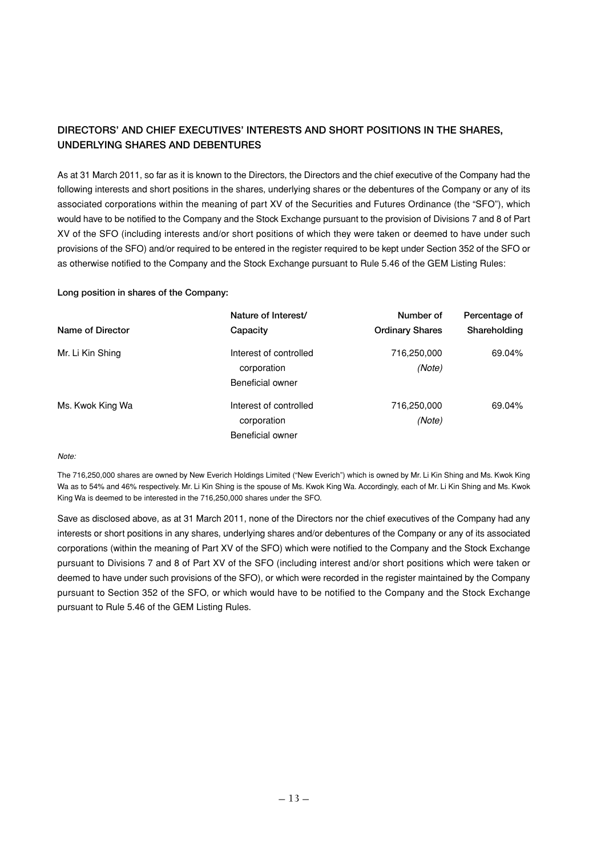## **DIRECTORS' AND CHIEF EXECUTIVES' INTERESTS AND SHORT POSITIONS IN THE SHARES, UNDERLYING SHARES AND DEBENTURES**

As at 31 March 2011, so far as it is known to the Directors, the Directors and the chief executive of the Company had the following interests and short positions in the shares, underlying shares or the debentures of the Company or any of its associated corporations within the meaning of part XV of the Securities and Futures Ordinance (the "SFO"), which would have to be notified to the Company and the Stock Exchange pursuant to the provision of Divisions 7 and 8 of Part XV of the SFO (including interests and/or short positions of which they were taken or deemed to have under such provisions of the SFO) and/or required to be entered in the register required to be kept under Section 352 of the SFO or as otherwise notified to the Company and the Stock Exchange pursuant to Rule 5.46 of the GEM Listing Rules:

#### **Long position in shares of the Company:**

|                  | Nature of Interest/    | Number of              | Percentage of |
|------------------|------------------------|------------------------|---------------|
| Name of Director | Capacity               | <b>Ordinary Shares</b> | Shareholding  |
| Mr. Li Kin Shing | Interest of controlled | 716,250,000            | 69.04%        |
|                  | corporation            | (Note)                 |               |
|                  | Beneficial owner       |                        |               |
| Ms. Kwok King Wa | Interest of controlled | 716,250,000            | 69.04%        |
|                  | corporation            | (Note)                 |               |
|                  | Beneficial owner       |                        |               |

Note:

The 716,250,000 shares are owned by New Everich Holdings Limited ("New Everich") which is owned by Mr. Li Kin Shing and Ms. Kwok King Wa as to 54% and 46% respectively. Mr. Li Kin Shing is the spouse of Ms. Kwok King Wa. Accordingly, each of Mr. Li Kin Shing and Ms. Kwok King Wa is deemed to be interested in the 716,250,000 shares under the SFO.

Save as disclosed above, as at 31 March 2011, none of the Directors nor the chief executives of the Company had any interests or short positions in any shares, underlying shares and/or debentures of the Company or any of its associated corporations (within the meaning of Part XV of the SFO) which were notified to the Company and the Stock Exchange pursuant to Divisions 7 and 8 of Part XV of the SFO (including interest and/or short positions which were taken or deemed to have under such provisions of the SFO), or which were recorded in the register maintained by the Company pursuant to Section 352 of the SFO, or which would have to be notified to the Company and the Stock Exchange pursuant to Rule 5.46 of the GEM Listing Rules.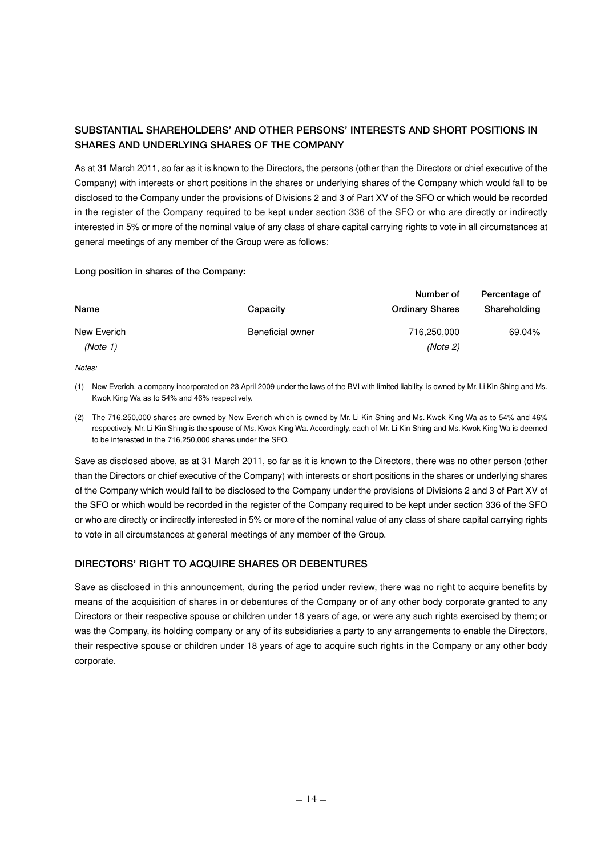## **SUBSTANTIAL SHAREHOLDERS' AND OTHER PERSONS' INTERESTS AND SHORT POSITIONS IN SHARES AND UNDERLYING SHARES OF THE COMPANY**

As at 31 March 2011, so far as it is known to the Directors, the persons (other than the Directors or chief executive of the Company) with interests or short positions in the shares or underlying shares of the Company which would fall to be disclosed to the Company under the provisions of Divisions 2 and 3 of Part XV of the SFO or which would be recorded in the register of the Company required to be kept under section 336 of the SFO or who are directly or indirectly interested in 5% or more of the nominal value of any class of share capital carrying rights to vote in all circumstances at general meetings of any member of the Group were as follows:

#### **Long position in shares of the Company:**

|             |                         | Number of              | Percentage of |
|-------------|-------------------------|------------------------|---------------|
| Name        | Capacity                | <b>Ordinary Shares</b> | Shareholding  |
| New Everich | <b>Beneficial owner</b> | 716,250,000            | 69.04%        |
| (Note 1)    |                         | (Note 2)               |               |
|             |                         |                        |               |

Notes:

(1) New Everich, a company incorporated on 23 April 2009 under the laws of the BVI with limited liability, is owned by Mr. Li Kin Shing and Ms. Kwok King Wa as to 54% and 46% respectively.

(2) The 716,250,000 shares are owned by New Everich which is owned by Mr. Li Kin Shing and Ms. Kwok King Wa as to 54% and 46% respectively. Mr. Li Kin Shing is the spouse of Ms. Kwok King Wa. Accordingly, each of Mr. Li Kin Shing and Ms. Kwok King Wa is deemed to be interested in the 716,250,000 shares under the SFO.

Save as disclosed above, as at 31 March 2011, so far as it is known to the Directors, there was no other person (other than the Directors or chief executive of the Company) with interests or short positions in the shares or underlying shares of the Company which would fall to be disclosed to the Company under the provisions of Divisions 2 and 3 of Part XV of the SFO or which would be recorded in the register of the Company required to be kept under section 336 of the SFO or who are directly or indirectly interested in 5% or more of the nominal value of any class of share capital carrying rights to vote in all circumstances at general meetings of any member of the Group.

## **DIRECTORS' RIGHT TO ACQUIRE SHARES OR DEBENTURES**

Save as disclosed in this announcement, during the period under review, there was no right to acquire benefits by means of the acquisition of shares in or debentures of the Company or of any other body corporate granted to any Directors or their respective spouse or children under 18 years of age, or were any such rights exercised by them; or was the Company, its holding company or any of its subsidiaries a party to any arrangements to enable the Directors, their respective spouse or children under 18 years of age to acquire such rights in the Company or any other body corporate.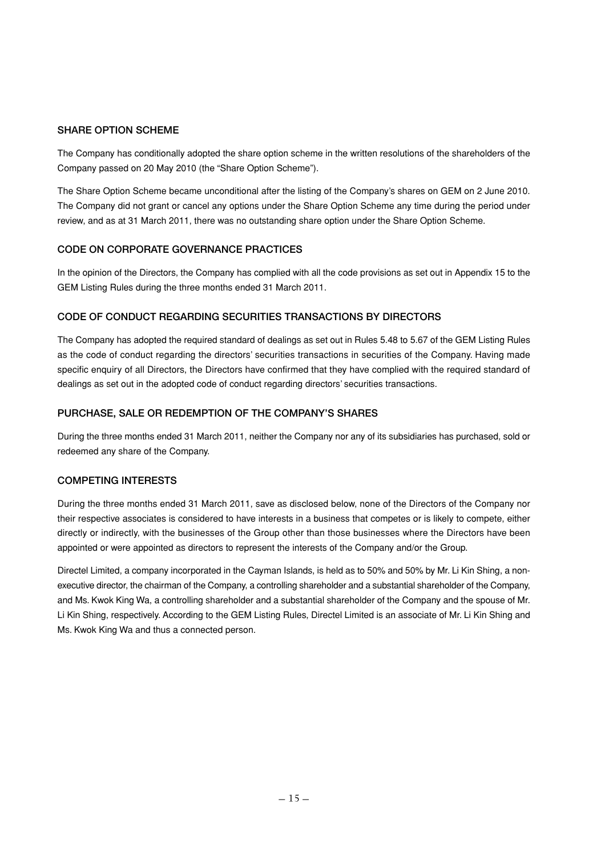## **SHARE OPTION SCHEME**

The Company has conditionally adopted the share option scheme in the written resolutions of the shareholders of the Company passed on 20 May 2010 (the "Share Option Scheme").

The Share Option Scheme became unconditional after the listing of the Company's shares on GEM on 2 June 2010. The Company did not grant or cancel any options under the Share Option Scheme any time during the period under review, and as at 31 March 2011, there was no outstanding share option under the Share Option Scheme.

#### **CODE ON CORPORATE GOVERNANCE PRACTICES**

In the opinion of the Directors, the Company has complied with all the code provisions as set out in Appendix 15 to the GEM Listing Rules during the three months ended 31 March 2011.

#### **CODE OF CONDUCT REGARDING SECURITIES TRANSACTIONS BY DIRECTORS**

The Company has adopted the required standard of dealings as set out in Rules 5.48 to 5.67 of the GEM Listing Rules as the code of conduct regarding the directors' securities transactions in securities of the Company. Having made specific enquiry of all Directors, the Directors have confirmed that they have complied with the required standard of dealings as set out in the adopted code of conduct regarding directors' securities transactions.

#### **PURCHASE, SALE OR REDEMPTION OF THE COMPANY'S SHARES**

During the three months ended 31 March 2011, neither the Company nor any of its subsidiaries has purchased, sold or redeemed any share of the Company.

#### **COMPETING INTERESTS**

During the three months ended 31 March 2011, save as disclosed below, none of the Directors of the Company nor their respective associates is considered to have interests in a business that competes or is likely to compete, either directly or indirectly, with the businesses of the Group other than those businesses where the Directors have been appointed or were appointed as directors to represent the interests of the Company and/or the Group.

Directel Limited, a company incorporated in the Cayman Islands, is held as to 50% and 50% by Mr. Li Kin Shing, a nonexecutive director, the chairman of the Company, a controlling shareholder and a substantial shareholder of the Company, and Ms. Kwok King Wa, a controlling shareholder and a substantial shareholder of the Company and the spouse of Mr. Li Kin Shing, respectively. According to the GEM Listing Rules, Directel Limited is an associate of Mr. Li Kin Shing and Ms. Kwok King Wa and thus a connected person.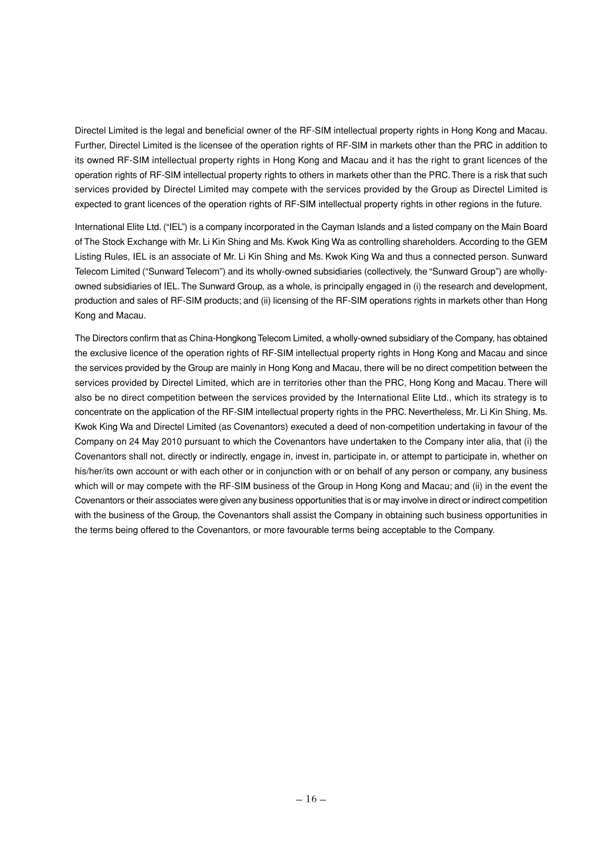Directel Limited is the legal and beneficial owner of the RF-SIM intellectual property rights in Hong Kong and Macau. Further, Directel Limited is the licensee of the operation rights of RF-SIM in markets other than the PRC in addition to its owned RF-SIM intellectual property rights in Hong Kong and Macau and it has the right to grant licences of the operation rights of RF-SIM intellectual property rights to others in markets other than the PRC. There is a risk that such services provided by Directel Limited may compete with the services provided by the Group as Directel Limited is expected to grant licences of the operation rights of RF-SIM intellectual property rights in other regions in the future.

International Elite Ltd. ("IEL") is a company incorporated in the Cayman Islands and a listed company on the Main Board of The Stock Exchange with Mr. Li Kin Shing and Ms. Kwok King Wa as controlling shareholders. According to the GEM Listing Rules, IEL is an associate of Mr. Li Kin Shing and Ms. Kwok King Wa and thus a connected person. Sunward Telecom Limited ("Sunward Telecom") and its wholly-owned subsidiaries (collectively, the "Sunward Group") are whollyowned subsidiaries of IEL. The Sunward Group, as a whole, is principally engaged in (i) the research and development, production and sales of RF-SIM products; and (ii) licensing of the RF-SIM operations rights in markets other than Hong Kong and Macau.

The Directors confirm that as China-Hongkong Telecom Limited, a wholly-owned subsidiary of the Company, has obtained the exclusive licence of the operation rights of RF-SIM intellectual property rights in Hong Kong and Macau and since the services provided by the Group are mainly in Hong Kong and Macau, there will be no direct competition between the services provided by Directel Limited, which are in territories other than the PRC. Hong Kong and Macau. There will also be no direct competition between the services provided by the International Elite Ltd., which its strategy is to concentrate on the application of the RF-SIM intellectual property rights in the PRC. Nevertheless, Mr. Li Kin Shing, Ms. Kwok King Wa and Directel Limited (as Covenantors) executed a deed of non-competition undertaking in favour of the Company on 24 May 2010 pursuant to which the Covenantors have undertaken to the Company inter alia, that (i) the Covenantors shall not, directly or indirectly, engage in, invest in, participate in, or attempt to participate in, whether on his/her/its own account or with each other or in conjunction with or on behalf of any person or company, any business which will or may compete with the RF-SIM business of the Group in Hong Kong and Macau; and (ii) in the event the Covenantors or their associates were given any business opportunities that is or may involve in direct or indirect competition with the business of the Group, the Covenantors shall assist the Company in obtaining such business opportunities in the terms being offered to the Covenantors, or more favourable terms being acceptable to the Company.